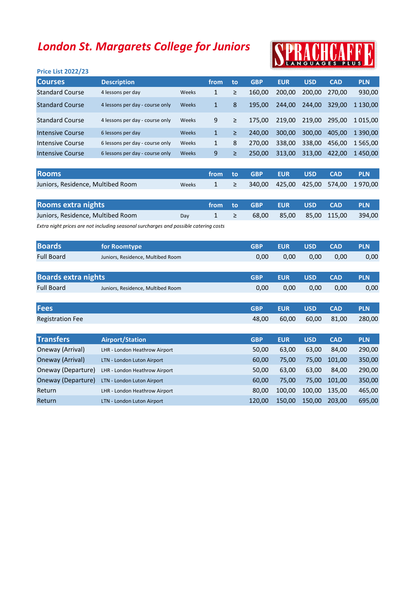## London St. Margarets College for Juniors

| <b>Price List 2022/23</b> |                                 |              |              |    |            |            |            |            |             |
|---------------------------|---------------------------------|--------------|--------------|----|------------|------------|------------|------------|-------------|
| <b>Courses</b>            | <b>Description</b>              |              | from         | to | <b>GBP</b> | <b>EUR</b> | <b>USD</b> | <b>CAD</b> | <b>PLN</b>  |
| <b>Standard Course</b>    | 4 lessons per day               | Weeks        | 1            | ≥  | 160.00     | 200,00     | 200.00     | 270.00     | 930,00      |
| <b>Standard Course</b>    | 4 lessons per day - course only | <b>Weeks</b> | 1            | 8  | 195.00     | 244,00     | 244.00     | 329.00     | 1 130.00    |
| <b>Standard Course</b>    | 4 lessons per day - course only | Weeks        | 9            | ≥  | 175.00     | 219.00     | 219.00     | 295.00     | 1 0 1 5 .00 |
| Intensive Course          | 6 lessons per day               | Weeks        | $\mathbf{1}$ | ≥  | 240,00     | 300.00     | 300,00     | 405,00     | 1 390.00    |
| Intensive Course          | 6 lessons per day - course only | Weeks        | 1            | 8  | 270.00     | 338,00     | 338,00     | 456,00     | 1 565.00    |
| Intensive Course          | 6 lessons per day - course only | Weeks        | 9            | ≥  | 250.00     | 313.00     | 313.00     | 422.00     | 1450.00     |
|                           |                                 |              |              |    |            |            |            |            |             |

| <b>Rooms</b>                      |       |  | from to GBP EUR USD CAD |  | - PLN                                        |
|-----------------------------------|-------|--|-------------------------|--|----------------------------------------------|
| Juniors, Residence, Multibed Room | Weeks |  |                         |  | $1 \geq 340,00$ 425,00 425,00 574,00 1970,00 |

| Rooms extra nights                |     |          | l from to GBP EUR USD CAD ' |  |                                 | <b>PLN</b> |
|-----------------------------------|-----|----------|-----------------------------|--|---------------------------------|------------|
| Juniors, Residence, Multibed Room | Dav | $1 \geq$ |                             |  | 68,00 85,00 85,00 115,00 394,00 |            |

Extra night prices are not including seasonal surcharges and possible catering costs

| <b>Boards</b>              | for Roomtype                      | <b>GBP</b> | <b>EUR</b> | <b>USD</b> | <b>CAD</b> | <b>PLN</b> |
|----------------------------|-----------------------------------|------------|------------|------------|------------|------------|
| <b>Full Board</b>          | Juniors, Residence, Multibed Room | 0,00       | 0.00       | 0.00       | 0.00       | 0,00       |
|                            |                                   |            |            |            |            |            |
| <b>Boards extra nights</b> |                                   | <b>GBP</b> | <b>EUR</b> | <b>USD</b> | <b>CAD</b> | <b>PLN</b> |
| <b>Full Board</b>          | Juniors, Residence, Multibed Room | 0,00       | 0,00       | 0.00       | 0.00       | 0,00       |

| Fees                    |                                | <b>GBP</b> | <b>EUR</b> | <b>USD</b> | <b>CAD</b> | <b>PLN</b> |
|-------------------------|--------------------------------|------------|------------|------------|------------|------------|
| <b>Registration Fee</b> |                                | 48,00      | 60,00      | 60,00      | 81,00      | 280,00     |
|                         |                                |            |            |            |            |            |
| <b>Transfers</b>        | <b>Airport/Station</b>         | <b>GBP</b> | <b>EUR</b> | <b>USD</b> | <b>CAD</b> | <b>PLN</b> |
| Oneway (Arrival)        | LHR - London Heathrow Airport  | 50,00      | 63,00      | 63,00      | 84,00      | 290,00     |
| Oneway (Arrival)        | LTN - London Luton Airport     | 60,00      | 75,00      | 75,00      | 101,00     | 350,00     |
| Oneway (Departure)      | LHR - London Heathrow Airport  | 50,00      | 63,00      | 63,00      | 84,00      | 290,00     |
| Oneway (Departure)      | LTN - London Luton Airport     | 60,00      | 75,00      | 75,00      | 101,00     | 350,00     |
| Return                  | LHR - London Heathrow Airport  | 80.00      | 100.00     | 100.00     | 135.00     | 465,00     |
| Return                  | - London Luton Airport<br>LTN. | 120.00     | 150.00     | 150.00     | 203.00     | 695,00     |